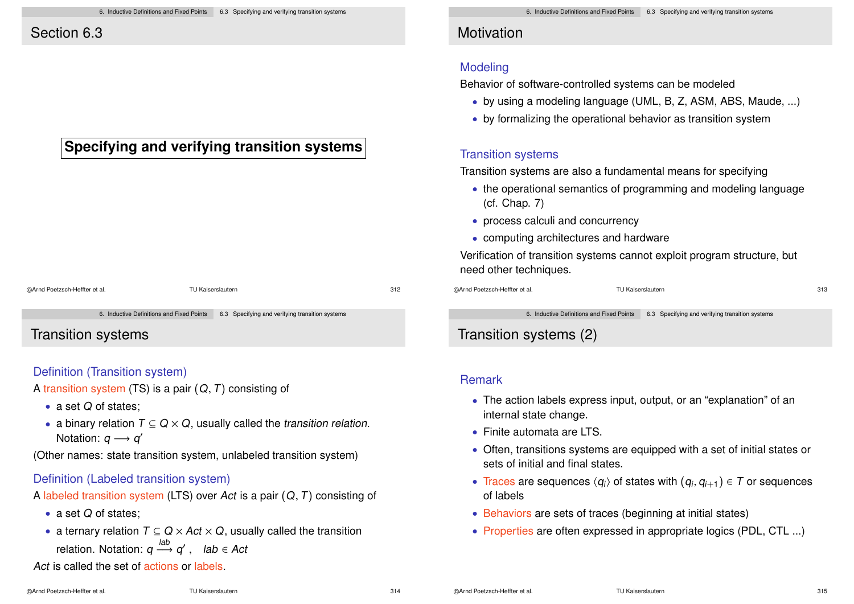## Section 6.3

## **Specifying and verifying transition systems**

# ©Arnd Poetzsch-Heffter et al. TU Kaiserslautern 312

6. Inductive Definitions and Fixed Points 6.3 Specifying and verifying transition systems

Transition systems

### Definition (Transition system)

A transition system (TS) is a pair  $(Q, T)$  consisting of

- a set Q of states:
- a binary relation  $T \subseteq Q \times Q$ , usually called the transition relation. Notation:  $q \rightarrow q'$

(Other names: state transition system, unlabeled transition system)

### Definition (Labeled transition system)

A labeled transition system (LTS) over Act is a pair  $(Q, T)$  consisting of

- a set Q of states:
- a ternary relation  $T \subseteq Q \times Act \times Q$ , usually called the transition relation. Notation:  $q \stackrel{lab}{\longrightarrow} q'$  ,  $lab \in Act$

Act is called the set of actions or labels.

## **Motivation**

### Modeling

Behavior of software-controlled systems can be modeled

- by using a modeling language (UML, B, Z, ASM, ABS, Maude, ...)
- by formalizing the operational behavior as transition system

### Transition systems

Transition systems are also a fundamental means for specifying

- the operational semantics of programming and modeling language (cf. Chap. 7)
- process calculi and concurrency
- computing architectures and hardware

Verification of transition systems cannot exploit program structure, but need other techniques.

©Arnd Poetzsch-Heffter et al. TU Kaiserslautern 313

6. Inductive Definitions and Fixed Points 6.3 Specifying and verifying transition systems

## Transition systems (2)

#### Remark

- The action labels express input, output, or an "explanation" of an internal state change.
- Finite automata are LTS.
- Often, transitions systems are equipped with a set of initial states or sets of initial and final states.
- Traces are sequences  $\langle q_i \rangle$  of states with  $(q_i, q_{i+1}) \in T$  or sequences of labels
- Behaviors are sets of traces (beginning at initial states)
- Properties are often expressed in appropriate logics (PDL, CTL ...)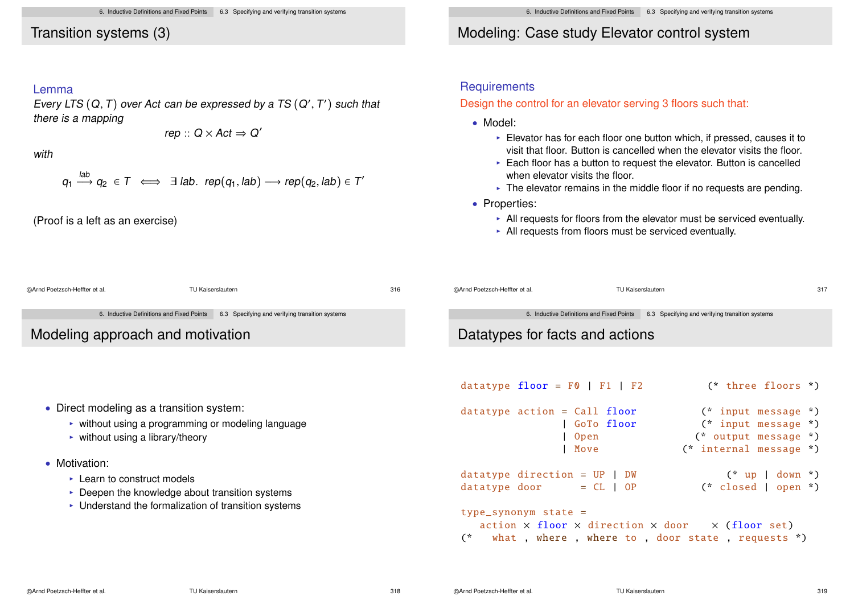### Transition systems (3)

#### Lemma

Every LTS  $(Q,T)$  over Act can be expressed by a TS  $(Q',T')$  such that there is a mapping

$$
rep :: Q \times Act \Rightarrow Q'
$$

with

$$
q_1 \stackrel{lab}{\longrightarrow} q_2 \in T \iff \exists lab. \text{ rep}(q_1, lab) \longrightarrow \text{rep}(q_2, lab) \in T
$$

(Proof is a left as an exercise)

## Modeling: Case study Elevator control system

#### **Requirements**

#### Design the control for an elevator serving 3 floors such that:

- Model:
	- $\blacktriangleright$  Elevator has for each floor one button which, if pressed, causes it to visit that floor. Button is cancelled when the elevator visits the floor.
	- $\triangleright$  Each floor has a button to request the elevator. Button is cancelled when elevator visits the floor.
	- $\blacktriangleright$  The elevator remains in the middle floor if no requests are pending.
- Properties:
	- $\blacktriangleright$  All requests for floors from the elevator must be serviced eventually.
	- $\blacktriangleright$  All requests from floors must be serviced eventually.

| @Arnd Poetzsch-Heffter et al.                                       | TU Kaiserslautern                               | 316 | @Arnd Poetzsch-Heffter et al.       | <b>TU Kaiserslautern</b>                  |                                                                                                                         | 317 |  |
|---------------------------------------------------------------------|-------------------------------------------------|-----|-------------------------------------|-------------------------------------------|-------------------------------------------------------------------------------------------------------------------------|-----|--|
| 6. Inductive Definitions and Fixed Points                           | 6.3 Specifying and verifying transition systems |     |                                     | 6. Inductive Definitions and Fixed Points | 6.3 Specifying and verifying transition systems                                                                         |     |  |
| Modeling approach and motivation                                    |                                                 |     | Datatypes for facts and actions     |                                           |                                                                                                                         |     |  |
|                                                                     |                                                 |     |                                     |                                           |                                                                                                                         |     |  |
|                                                                     |                                                 |     | datatype $floor = F0$   $F1$   $F2$ |                                           | (* three floors *)                                                                                                      |     |  |
| • Direct modeling as a transition system:                           |                                                 |     | datatype action = $Call$ floor      |                                           | $(*$ input message $*)$                                                                                                 |     |  |
| ► without using a programming or modeling language                  |                                                 |     | GoTo floor                          | (* input message *)                       |                                                                                                                         |     |  |
| $\triangleright$ without using a library/theory                     |                                                 |     |                                     | Open<br>Move                              | (* output message *)<br>(* internal message *)                                                                          |     |  |
| • Motivation:                                                       |                                                 |     |                                     |                                           |                                                                                                                         |     |  |
| $\triangleright$ Learn to construct models                          |                                                 |     | $datatype$ direction = $UP$   $DW$  |                                           | $(* up   down *)$                                                                                                       |     |  |
| $\triangleright$ Deepen the knowledge about transition systems      |                                                 |     | datatype door                       | $= CL   OP$                               | $(*$ closed   open $*)$                                                                                                 |     |  |
| $\triangleright$ Understand the formalization of transition systems |                                                 |     | $type\_symonym$ state =             |                                           | $action \times floor \times direction \times door \times (floor set)$<br>what, where, where to, door state, requests *) |     |  |

 $\overline{\phantom{a}}$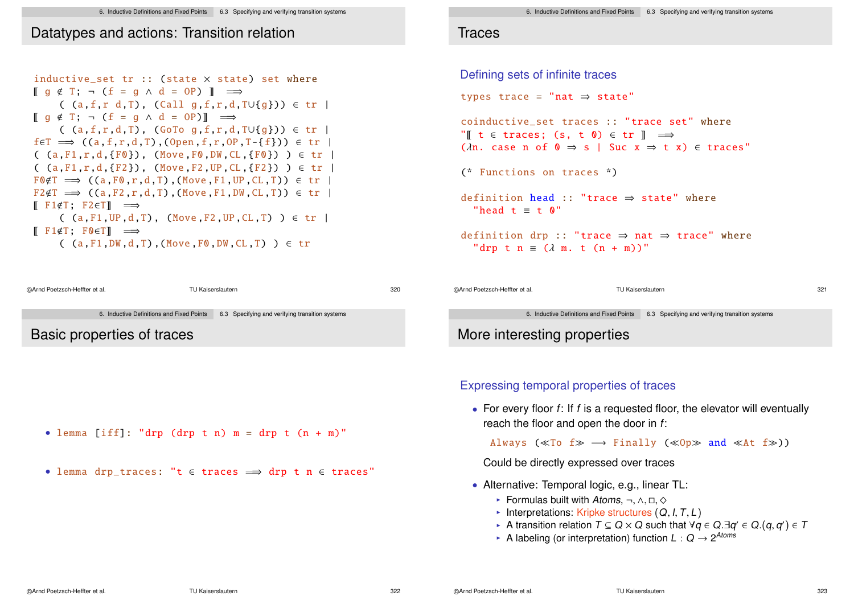## Datatypes and actions: Transition relation

inductive set tr :: (state  $\times$  state) set where  $\lbrack \mathsf{q} \notin \mathsf{T}$ ;  $\neg$  (f = q  $\wedge$  d = OP)  $\lbrack \mathsf{I} \rbrack$   $\implies$ ( (a,f,r d,T), (Call g,f,r,d,T∪{g})) ∈ tr |  $\llbracket q \notin T; \neg (f = q \land d = 0P) \rrbracket \implies$ ( (a,f,r,d,T), (GoTo g,f,r,d,T∪{g})) ∈ tr |  $f \in T \implies ((a, f, r, d, T), (Open, f, r, OP, T - \{f\})) \in tr$  $($  (a, F1, r,d,  ${F0}$ ), (Move  $F0$ , DW, CL,  ${F0}$ ))  $\in$  tr |  $($  (a,F1,r,d, ${F2}$ ), (Move,F2,UP,CL, ${F2}$ ) )  $\in$  tr  $F \cdot F \cdot F \Rightarrow ((a.F \cdot r.d.T) \cdot (Move.F1.UP CL.T)) \in tr$  $F2 \notin T \implies ((a, F2, r, d, T), (Move, F1, DW, CL, T)) \in tr$  $\mathbb{F}$  F1 $\in$ T: F2 $\in$ T $\mathbb{F}$   $\implies$  $($  (a,F1, UP, d,T), (Move F2, UP, CL,T))  $\in$  tr |  $\mathbb{F}$  F1 $\notin$ T: F0 $\in$ Tl  $\implies$  $($  (a, F1, DW, d, T), (Move F0, DW, CL, T)  $) \in \text{tr}$ 



### **Traces**

```
Defining sets of infinite traces
types trace =
"nat ⇒ state"
coinductive_set traces :: "trace set" where
"\mathbb{I} t \in traces; (s, t \mathbb{O}) \in tr \mathbb{I} \implies(\lambdan. case n of 0 \Rightarrow s | Suc x \Rightarrow t \ x) \in traces"
(* Functions on traces *)
definition head :: "trace ⇒ state" where
  "head t \equiv t \quad 0"
definition drp :: "trace \Rightarrow nat \Rightarrow trace" where
  "drp t n \equiv (\lambda m, t (n + m))"
```

```
©Arnd Poetzsch-Heffter et al. TU Kaiserslautern 321
               6. Inductive Definitions and Fixed Points 6.3 Specifying and verifying transition systems
More interesting properties
```
### Expressing temporal properties of traces

• For every floor  $f$ : If  $f$  is a requested floor, the elevator will eventually reach the floor and open the door in f:

Always ( $\ll$ To f $\gg \rightarrow$  Finally ( $\ll$ Op $\gg$  and  $\ll$ At f $\gg$ ))

Could be directly expressed over traces

- Alternative: Temporal logic, e.g., linear TL:
	- I Formulas built with Atoms,  $\neg$ ,  $\wedge$ ,  $\Box$ ,  $\diamond$
	- Interpretations: Kripke structures  $(Q, I, T, L)$
	- A transition relation  $T \subseteq Q \times Q$  such that  $\forall q \in Q \exists q' \in Q.(q, q') \in T$
	- ► A labeling (or interpretation) function  $L: Q \rightarrow 2^{Atoms}$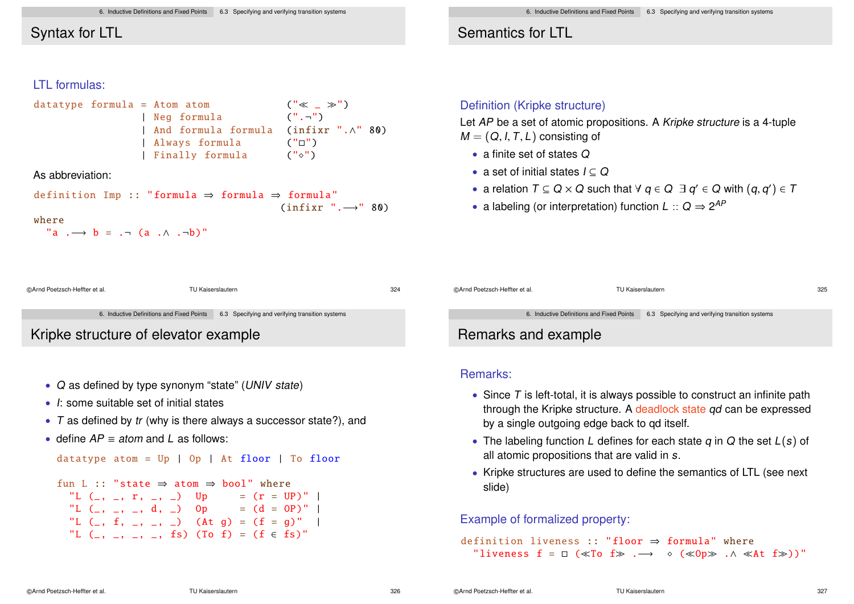## Syntax for LTL

### LTL formulas:

datatype formula = Atom atom (" \_ ") | Neg formula (".¬ ") | And formula formula (infixr ".∧" 80) | Always formula ("") | Finally formula ("")

As abbreviation:

$$
\text{definition Imp} :: \text{"formula} \Rightarrow \text{formula} \Rightarrow \text{formula"}
$$
\n
$$
\text{(infixr "...)} \quad 80)
$$

#### where

```
"a \rightarrow b = \rightarrow (a \land \rightarrow \rightarrow b)"
```
### Semantics for LTL

#### Definition (Kripke structure)

Let AP be a set of atomic propositions. A Kripke structure is a 4-tuple  $M = (Q, I, T, L)$  consisting of

- a finite set of states Q
- a set of initial states  $I \subseteq Q$
- a relation  $T \subseteq Q \times Q$  such that  $\forall q \in Q \exists q' \in Q$  with  $(q, q') \in T$
- a labeling (or interpretation) function  $L :: Q \Rightarrow 2^{AP}$

```
©Arnd Poetzsch-Heffter et al. TU Kaiserslautern 324
                                                                               ©Arnd Poetzsch-Heffter et al. TU Kaiserslautern 325
             6. Inductive Definitions and Fixed Points 6.3 Specifying and verifying transition systems
Kripke structure of elevator example
```
- Q as defined by type synonym "state" (UNIV state)
- I: some suitable set of initial states
- T as defined by tr (why is there always a successor state?), and
- define  $AP \equiv atom$  and L as follows:

```
datatype atom = Up | Op | At floor | To floor
```

```
fun I \cdot \cdot "state \Rightarrow atom \Rightarrow bool" where
  "L (\_, \_, r, \_, \_) Up = (r = UP)"
  "L (\_, \_, \_, \_, \, d, \_) Op = (d = 0P)"
  "L (\_, f, \_, \_, \_) (\land t, g) = (f = g)"
  "L (_, _, _, _, fs) (To f) = (f \in fs)"
```
6. Inductive Definitions and Fixed Points 6.3 Specifying and verifying transition systems

## Remarks and example

#### Remarks:

- Since  $T$  is left-total, it is always possible to construct an infinite path through the Kripke structure. A deadlock state qd can be expressed by a single outgoing edge back to qd itself.
- The labeling function L defines for each state  $q$  in  $Q$  the set  $L(s)$  of all atomic propositions that are valid in s.
- Kripke structures are used to define the semantics of LTL (see next slide)

### Example of formalized property:

```
definition liveness :: "floor \Rightarrow formula" where
   "liveness f = \Box (\ll T_0 f \gg . \rightarrow \diamond (\ll 0 p \gg . \land \ll At f \gg))"
```